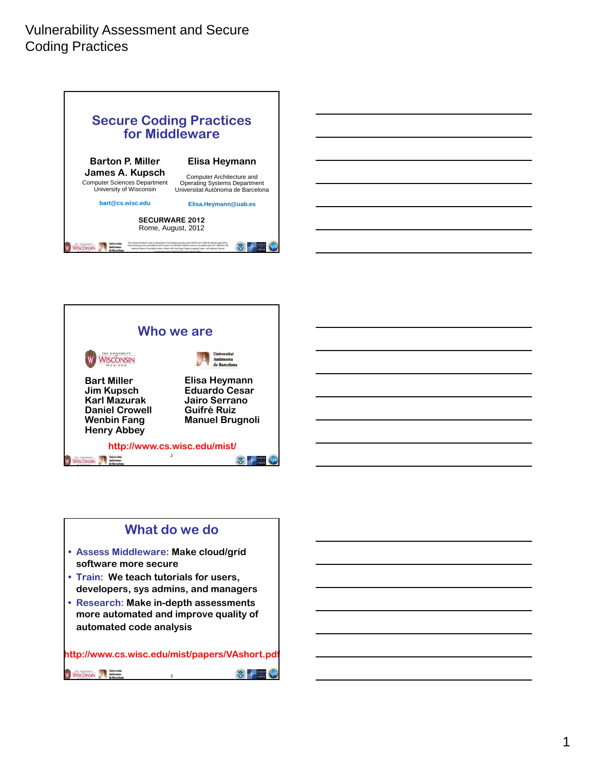





### **What do we do • Assess Middleware: Make cloud/grid software more secure • Train: We teach tutorials for users, developers, sys admins, and managers • Research: Make in-depth assessments more automated and improve quality of automated code analysis**

**http://www.cs.wisc.edu/mist/papers/VAshort.pdf**WISCONSIN Autonoma **WEB OTAN** 3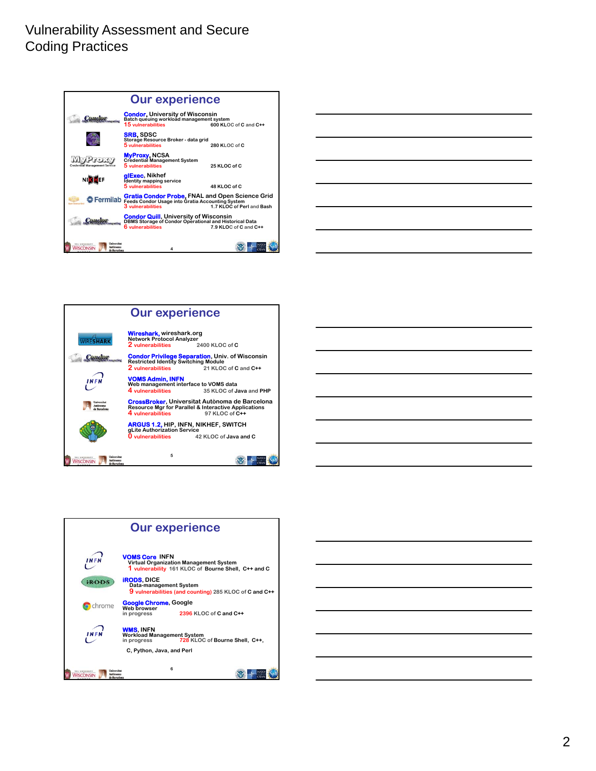









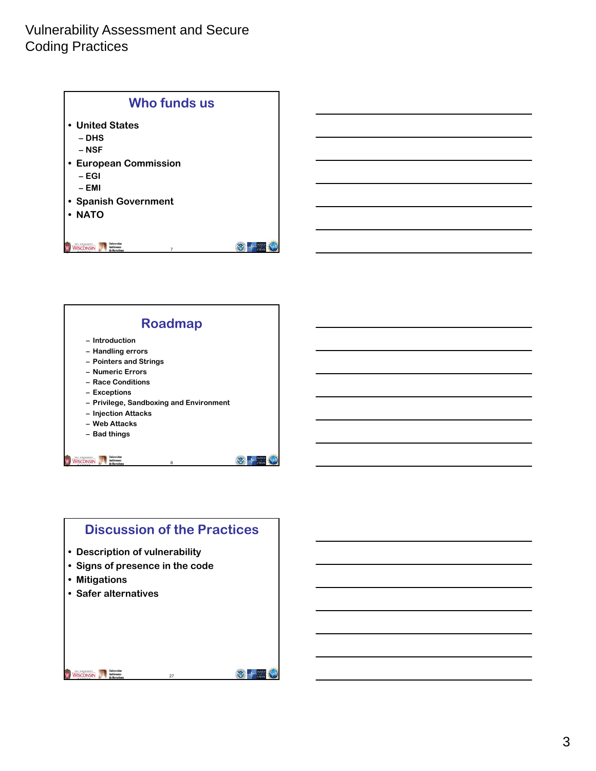



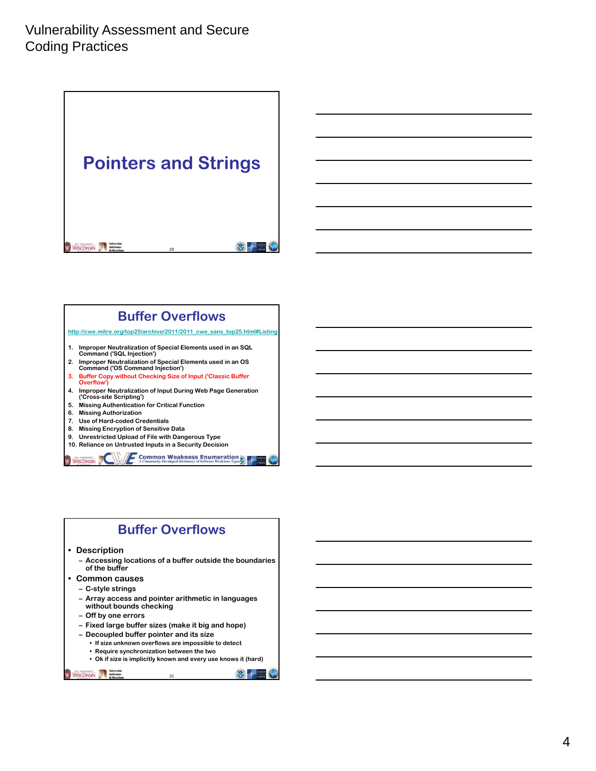**Pointers and Strings** WISCONSIN Autonomy 要卡 29

### **Buffer Overflows**

**http://cwe.mitre.org/top25/archive/2011/2011\_cwe\_sans\_top25.html#Listing**

- **1. Improper Neutralization of Special Elements used in an SQL**
- **Command ('SQL Injection')**
- **2. Improper Neutralization of Special Elements used in an OS Command ('OS Command Injection')**
- **3. Buffer Copy without Checking Size of Input ('Classic Buffer Overflow')**
- **4. Improper Neutralization of Input During Web Page Generation ('Cross-site Scripting')**
- **5. Missing Authentication for Critical Function**
- **6. Missing Authorization**
- **7. Use of Hard-coded Credentials**
- **8. Missing Encryption of Sensitive Data**
- **9. Unrestricted Upload of File with Dangerous Type**
- **10. Reliance on Untrusted Inputs in a Security Decision**

**Common Weakness Enumeration** WISCONSIN

### **Buffer Overflows**

**• Description**

- **Accessing locations of a buffer outside the boundaries of the buffer**
- **Common causes**
	- **C-style strings**
	- **Array access and pointer arithmetic in languages without bounds checking**
	- **Off by one errors**
	- **Fixed large buffer sizes (make it big and hope)**
	- **Decoupled buffer pointer and its size**
		- **If size unknown overflows are impossible to detect**
		- **Require synchronization between the two**
		- 31 **• Ok if size is implicitly known and every use knows it (hard)**

WISCONSIN Martin Martin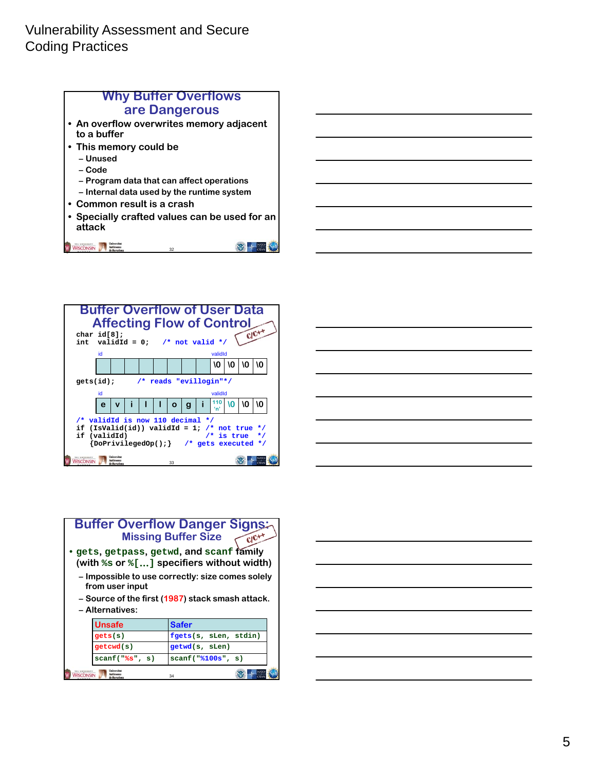





| <b>Buffer Overflow Danger Signs:</b><br><b>Missing Buffer Size</b><br>$ClC+1$<br>gets, getpass, getwd, and scanf family •<br>(with $s$ s or $s$ [] specifiers without width)<br>- Impossible to use correctly: size comes solely<br>from user input<br>– Source of the first (1987) stack smash attack. |                                      |                       |  |  |  |
|---------------------------------------------------------------------------------------------------------------------------------------------------------------------------------------------------------------------------------------------------------------------------------------------------------|--------------------------------------|-----------------------|--|--|--|
|                                                                                                                                                                                                                                                                                                         | - Alternatives:                      |                       |  |  |  |
|                                                                                                                                                                                                                                                                                                         | <b>Unsafe</b>                        | <b>Safer</b>          |  |  |  |
|                                                                                                                                                                                                                                                                                                         | gets(s)                              | fgets(s, sLen, stdin) |  |  |  |
|                                                                                                                                                                                                                                                                                                         | getcvd(s)                            | getwd(s, sLen)        |  |  |  |
|                                                                                                                                                                                                                                                                                                         | scanf("8s", s)<br>scan f("8100s", s) |                       |  |  |  |
|                                                                                                                                                                                                                                                                                                         | 34                                   |                       |  |  |  |

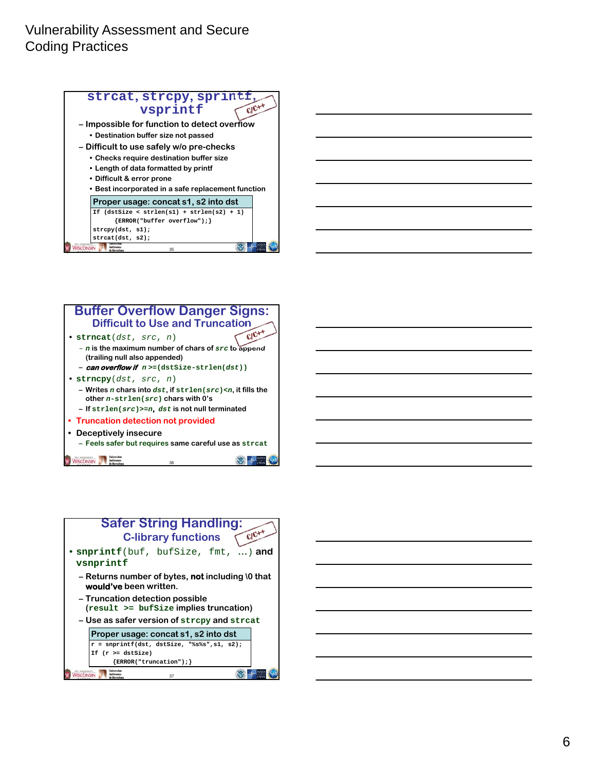





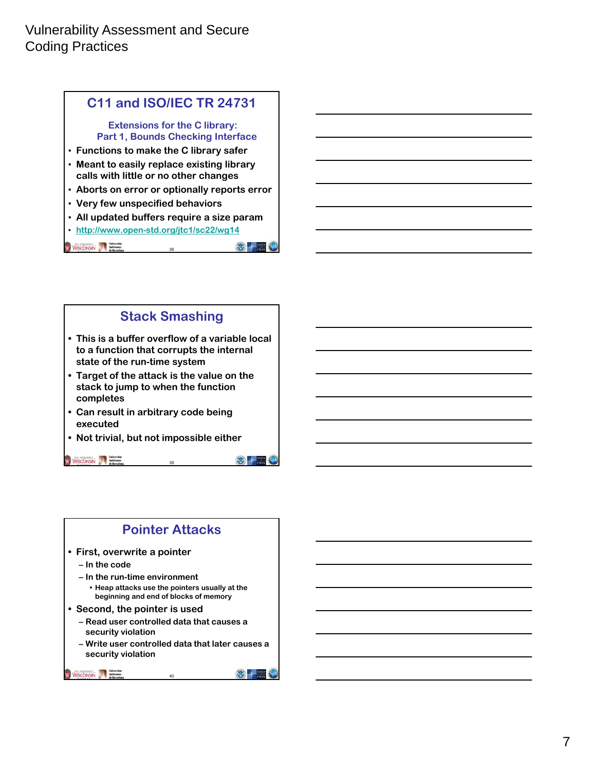### **C11 and ISO/IEC TR 24731**

**Extensions for the C library: Part 1, Bounds Checking Interface**

- **Functions to make the C library safer**
- **Meant to easily replace existing library calls with little or no other changes**
- **Aborts on error or optionally reports error**
- **Very few unspecified behaviors**
- **All updated buffers require a size param**

38

• **http://www.open-std.org/jtc1/sc22/wg14**

WISCONSIN Autonoma

 $\frac{1}{\sqrt{2}}$  +  $\frac{N_{\text{WD}}}{\text{0.000}}$ 

 $\frac{1}{\sqrt{2}}$  +  $\frac{N}{\sqrt{2}}$ 

 $\mathfrak{B} + \frac{\text{NIR}}{\text{OM}}$ 

### **Stack Smashing**

- **This is a buffer overflow of a variable local to a function that corrupts the internal state of the run-time system**
- **Target of the attack is the value on the stack to jump to when the function completes**
- **Can result in arbitrary code being executed**
- **Not trivial, but not impossible either**

WISCONSIN Autonoma

### **Pointer Attacks**

39

- **First, overwrite a pointer**
	- **In the code**
	- **In the run-time environment**
		- **Heap attacks use the pointers usually at the beginning and end of blocks of memory**
- **Second, the pointer is used**
	- **Read user controlled data that causes a security violation**
	- **Write user controlled data that later causes a security violation**

40

WISCONSIN Mathematical Mathematical Microsoft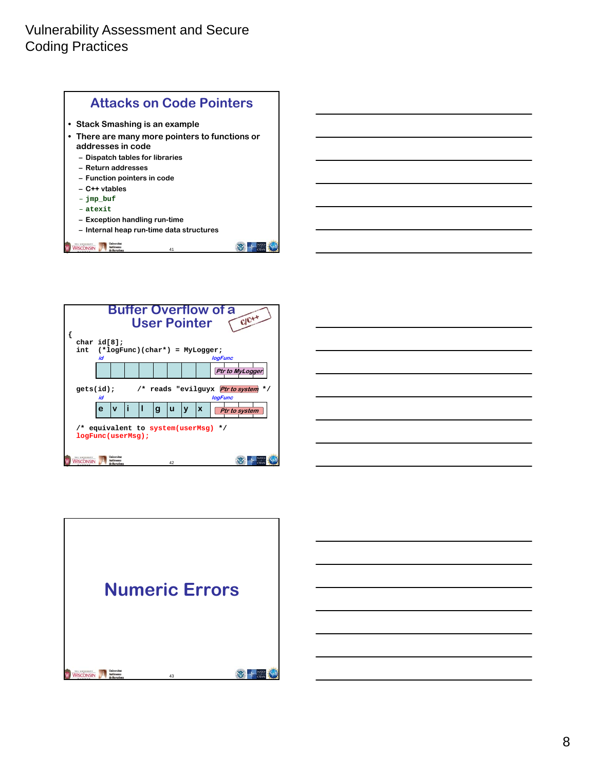



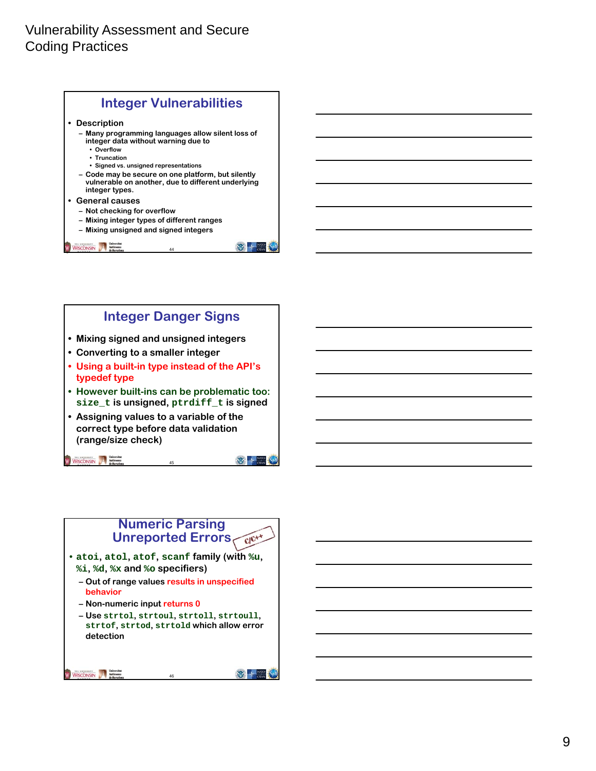



### **Numeric Parsing Unreported Errors**

- **atoi, atol, atof, scanf family (with %u, %i, %d, %x and %o specifiers)**
	- **Out of range values results in unspecified behavior**
	- **Non-numeric input returns 0**
	- **Use strtol, strtoul, strtoll, strtoull, strtof, strtod, strtold which allow error detection**

46

 $\frac{1}{\sqrt{2}}$  +  $\frac{N}{N}$  oray

```
WISCONSIN A Matomona
```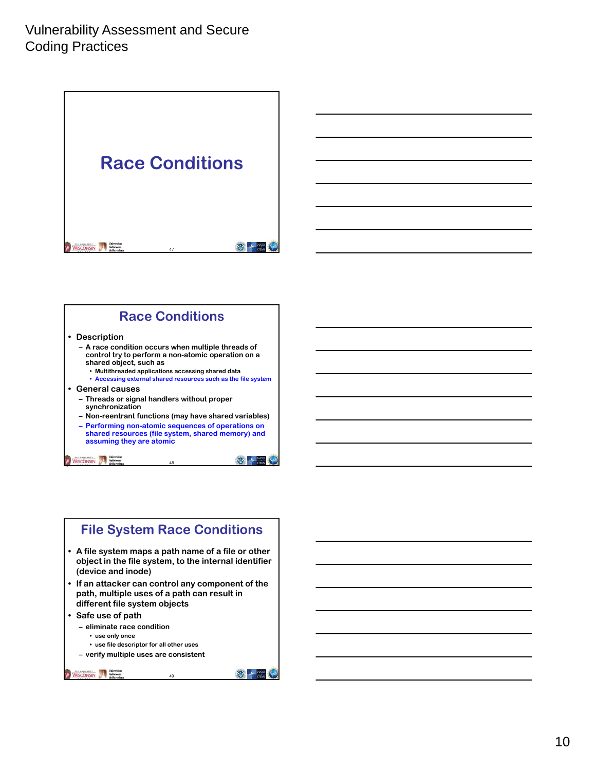**Race Conditions** WISCONSIN Automotive Marketing 要卡 47

### **Race Conditions**

#### **• Description**

- **A race condition occurs when multiple threads of control try to perform a non-atomic operation on a shared object, such as • Multithreaded applications accessing shared data**
	- **Accessing external shared resources such as the file system**
- **General causes**
	- **Threads or signal handlers without proper synchronization**
	- **Non-reentrant functions (may have shared variables)**
	- **Performing non-atomic sequences of operations on shared resources (file system, shared memory) and assuming they are atomic**

48

 $\mathbb{Z}$  +  $\frac{N}{2}$ 

#### WISCONSIN Mathematical

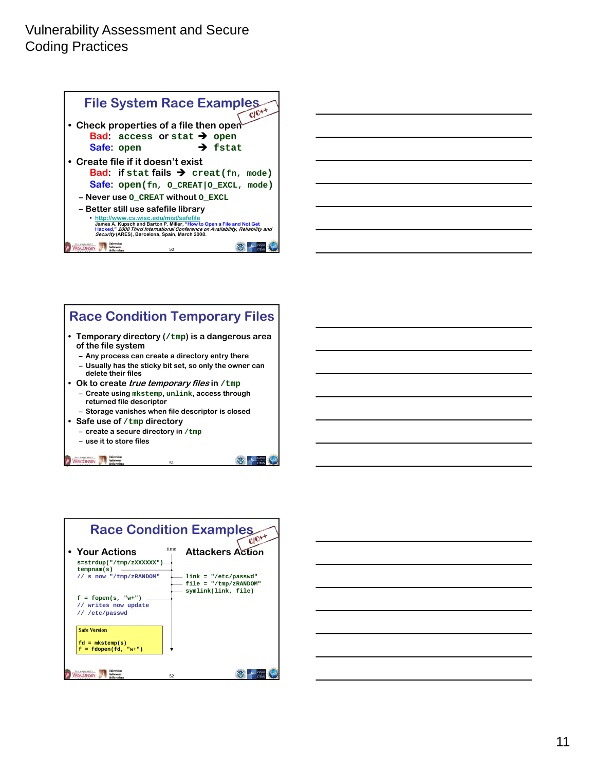



#### **Race Condition Temporary Files • Temporary directory (/tmp) is a dangerous area of the file system – Any process can create a directory entry there – Usually has the sticky bit set, so only the owner can delete their files • Ok to create true temporary files in /tmp – Create using mkstemp, unlink, access through returned file descriptor – Storage vanishes when file descriptor is closed • Safe use of /tmp directory – create a secure directory in /tmp – use it to store files** WISCONSIN Autonoma de Barcelona **WEB ONE**

|                                                                    | <b>Race Condition Examples</b><br>$ClC+4$                                |
|--------------------------------------------------------------------|--------------------------------------------------------------------------|
| <b>↑ Your Actions</b><br>s=strdup("/tmp/zXXXXXX")<br>tempnam(s)    | time<br><b>Attackers Action</b>                                          |
| // s now "/tmp/zRANDOM"                                            | $link = "/etc/passwd"$<br>$file = "/tmp/zRANDOM"$<br>symlink(link, file) |
| $f = fopen(s, "w+")$<br>// writes now update<br>// /etc/passwd     |                                                                          |
| <b>Safe Version</b><br>$fd = mkstemp(s)$<br>$f = fdopen(fd, "w+")$ |                                                                          |
| Iniversitat<br>kutònoma<br>SCONSIN<br>de Barcelona                 | 52                                                                       |

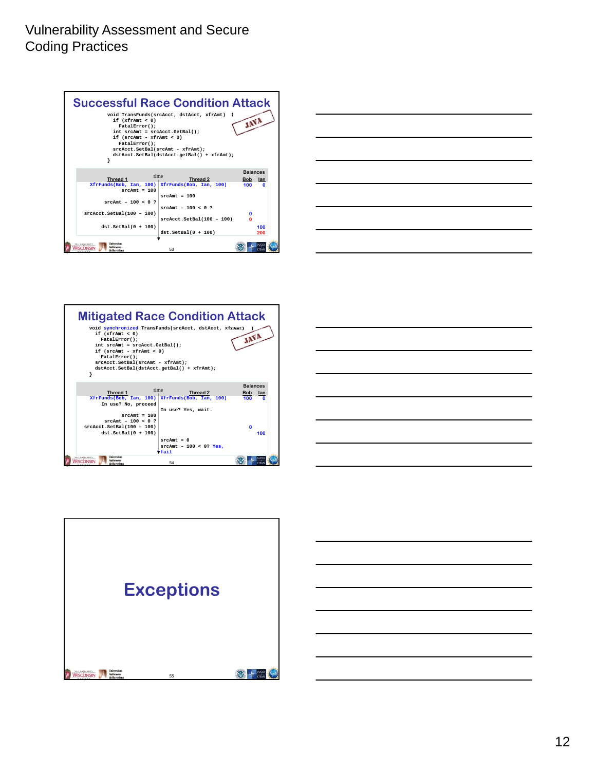





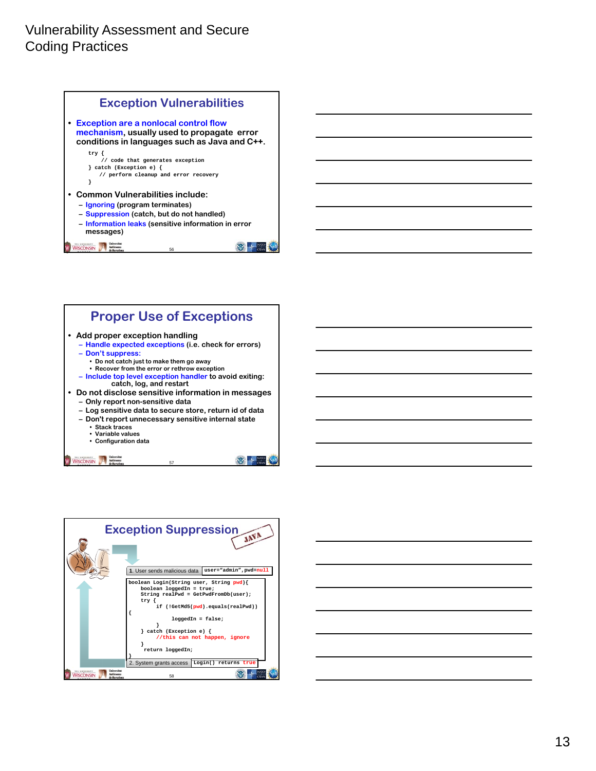





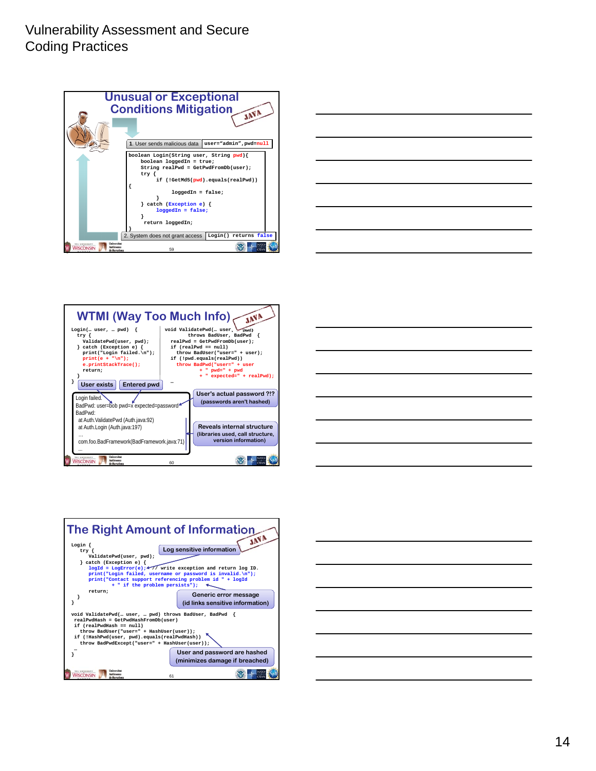









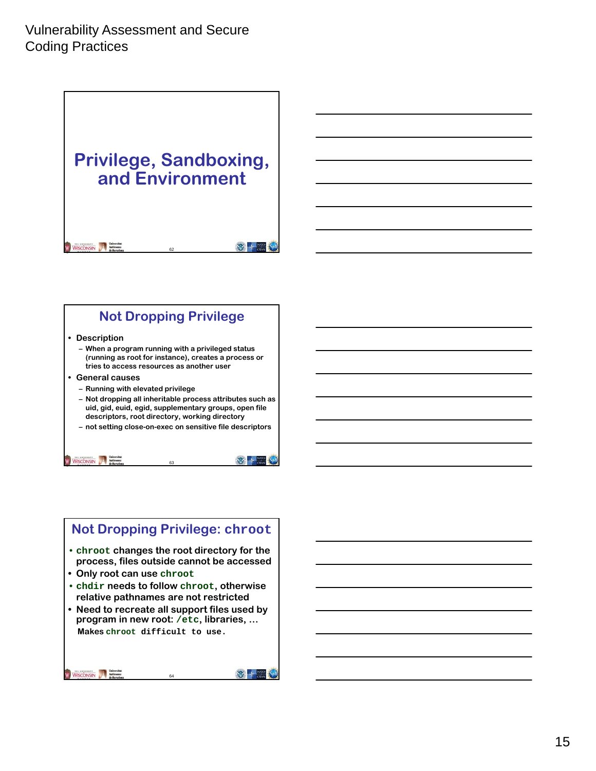# **Privilege, Sandboxing, and Environment**

WISCONSIN Mathematical Mathematical Mathematical Mathematical Mathematical Mathematical Mathematical Mathematical Mathematical Mathematical Mathematical Mathematical Mathematical Mathematical Mathematical Mathematical Math

### **Not Dropping Privilege**

62

要卡

**WEB AT STAN** 

#### **• Description**

- **When a program running with a privileged status (running as root for instance), creates a process or tries to access resources as another user**
- **General causes**

WISCONSIN Autonoma

- **Running with elevated privilege**
- **Not dropping all inheritable process attributes such as uid, gid, euid, egid, supplementary groups, open file descriptors, root directory, working directory**
- **not setting close-on-exec on sensitive file descriptors**

63

### **Not Dropping Privilege: chroot** • **chroot changes the root directory for the process, files outside cannot be accessed • Only root can use chroot** • **chdir needs to follow chroot, otherwise relative pathnames are not restricted • Need to recreate all support files used by program in new root: /etc, libraries, … Makes chroot difficult to use.**WISCONSIN Mathematical Mathematical Microsoft **WE A NATO**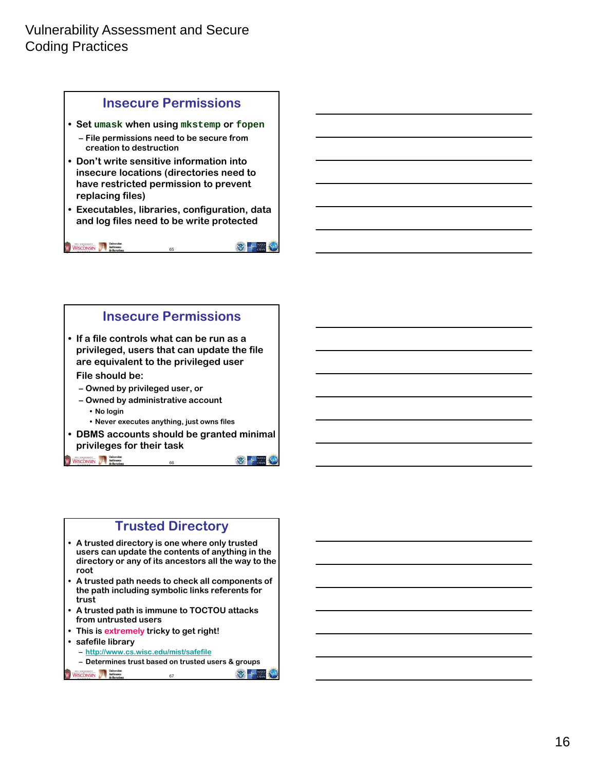



### **Trusted Directory**

- **A trusted directory is one where only trusted users can update the contents of anything in the directory or any of its ancestors all the way to the root**
- **A trusted path needs to check all components of the path including symbolic links referents for trust**
- **A trusted path is immune to TOCTOU attacks from untrusted users**
- **This is extremely tricky to get right!**
- **safefile library**
	- **– http://www.cs.wisc.edu/mist/safefile**
	- **Determines trust based on trusted users & groups**

67

**WEB AT ANTO AS** 

WISCONSIN Autonoma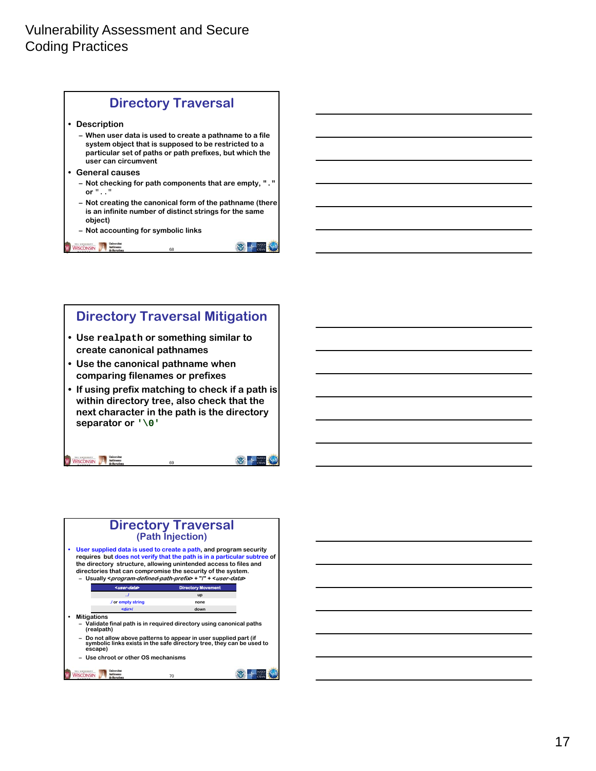| <b>Directory Traversal</b>                                                                                                                                                                        |
|---------------------------------------------------------------------------------------------------------------------------------------------------------------------------------------------------|
| <b>Description</b>                                                                                                                                                                                |
| – When user data is used to create a pathname to a file<br>system object that is supposed to be restricted to a<br>particular set of paths or path prefixes, but which the<br>user can circumvent |
| <b>General causes</b>                                                                                                                                                                             |
| - Not checking for path components that are empty, $\cdot \cdot \cdot$<br>or $"$ $"$                                                                                                              |
| - Not creating the canonical form of the pathname (there<br>is an infinite number of distinct strings for the same<br>object)                                                                     |
| - Not accounting for symbolic links                                                                                                                                                               |
| 68                                                                                                                                                                                                |

# **Directory Traversal Mitigation**

- **Use realpath or something similar to create canonical pathnames**
- **Use the canonical pathname when comparing filenames or prefixes**
- **If using prefix matching to check if a path is within directory tree, also check that the next character in the path is the directory separator or '\0'**

69

WISCONSIN Matone





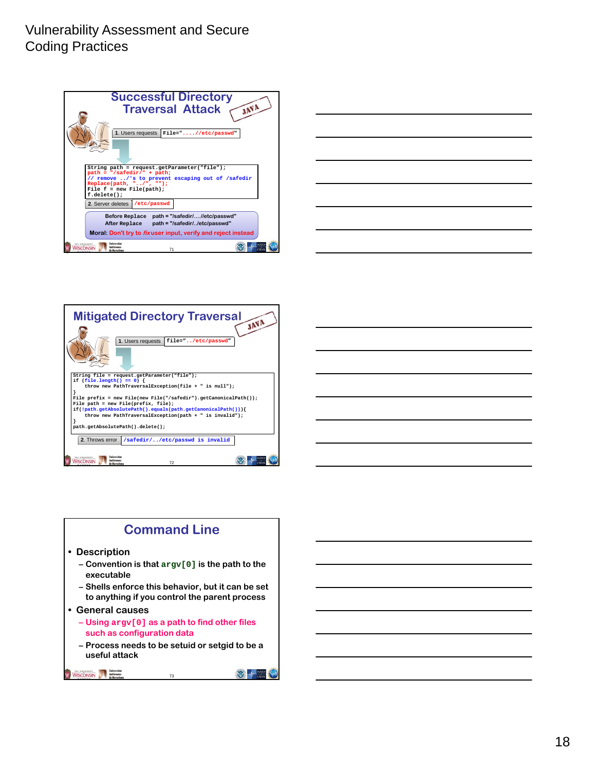







73

WISCONSIN A Matomona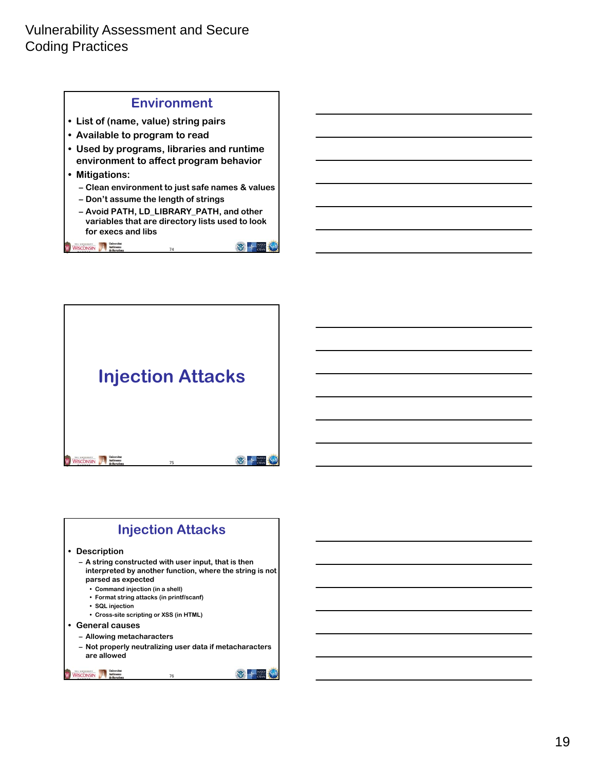





#### **• Description**

- **A string constructed with user input, that is then interpreted by another function, where the string is not parsed as expected**
	- **Command injection (in a shell)**
	- **Format string attacks (in printf/scanf)**
	- **SQL injection**
	- **Cross-site scripting or XSS (in HTML)**
- **General causes**
	- **Allowing metacharacters**
	- **Not properly neutralizing user data if metacharacters are allowed**

76

WISCONSIN Mathematical Mathematical Microsoft

 $\frac{1}{\sqrt{2}}$  +  $\frac{N}{\sqrt{2}}$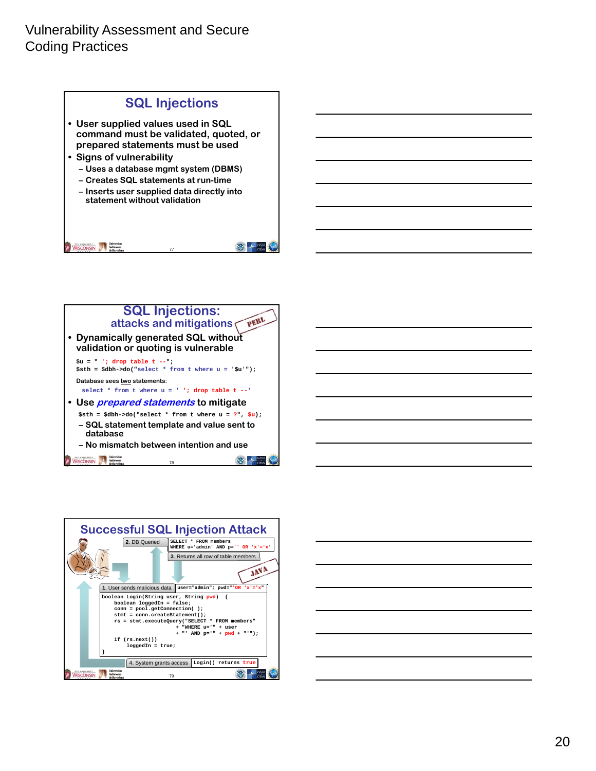





| $\overline{\phantom{a}}$ |  |  |     |
|--------------------------|--|--|-----|
|                          |  |  |     |
|                          |  |  |     |
|                          |  |  |     |
|                          |  |  | ___ |
|                          |  |  |     |
|                          |  |  |     |
|                          |  |  |     |
|                          |  |  |     |
|                          |  |  |     |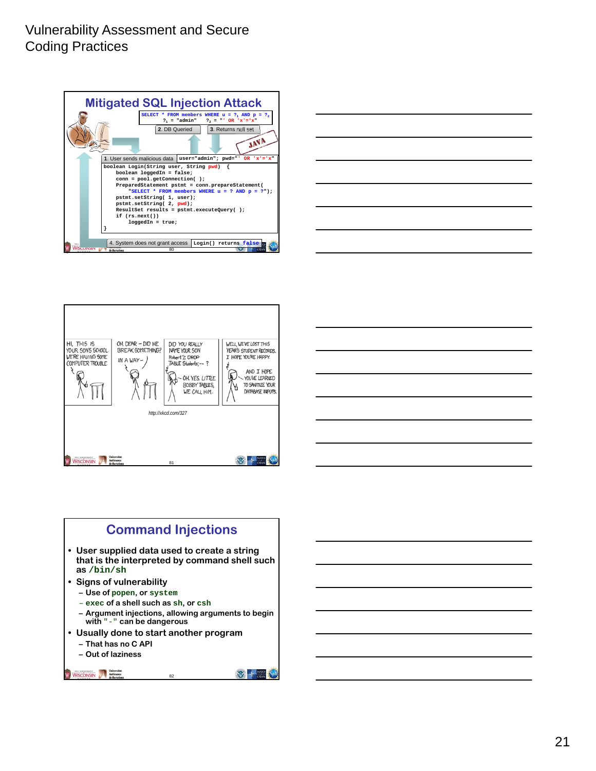







### **Command Injections**

- **User supplied data used to create a string that is the interpreted by command shell such as /bin/sh**
- **Signs of vulnerability**
- **Use of popen, or system**
- **exec of a shell such as sh, or csh**
- **Argument injections, allowing arguments to begin with** "-" **can be dangerous**

- **Usually done to start another program**
	- **That has no C API**
	- **Out of laziness**

```
WISCONSIN Automot
```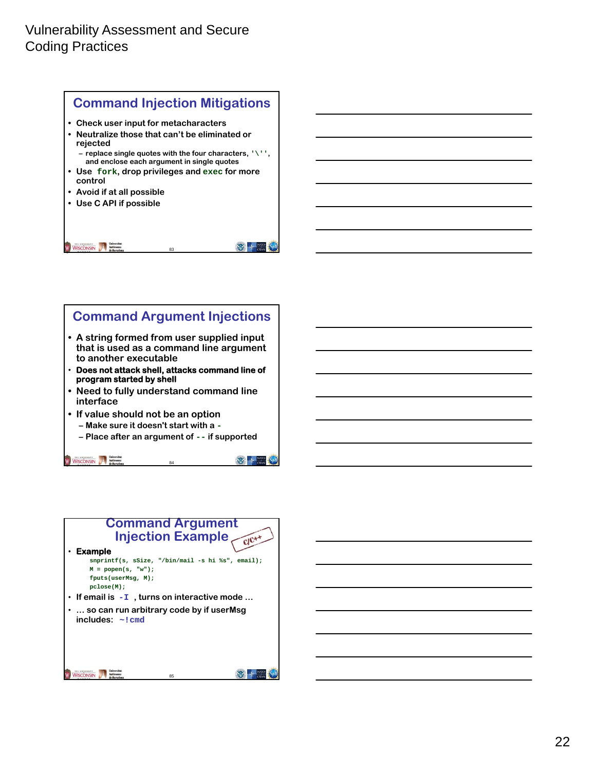

### **Command Argument Injections • A string formed from user supplied input that is used as a command line argument to another executable** • **Does not attack shell, attacks command line of program started by shell • Need to fully understand command line interface • If value should not be an option – Make sure it doesn't start with a - – Place after an argument of -- if supported**

84

**WEB 4 NATO** 

WISCONSIN Autonoma

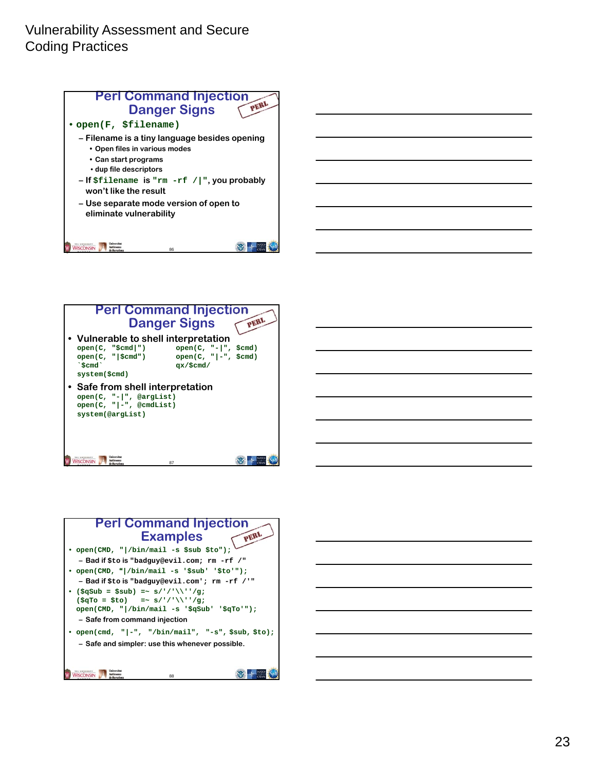



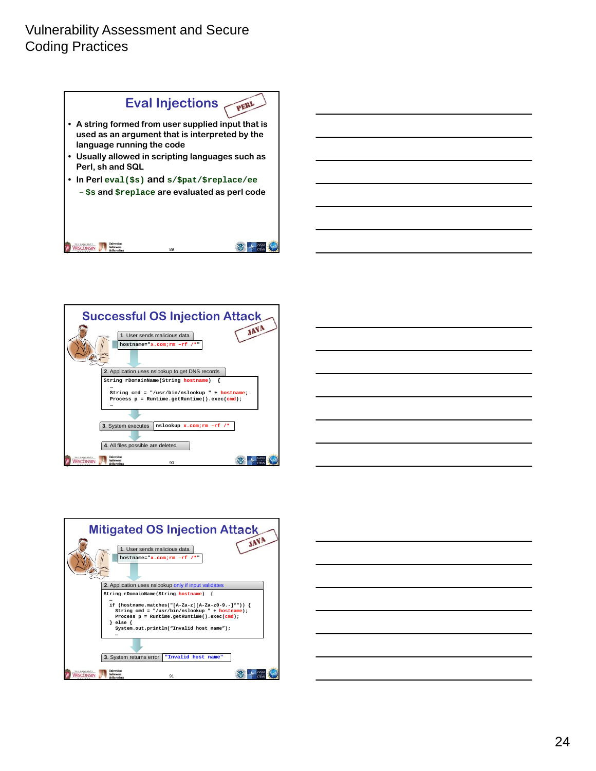







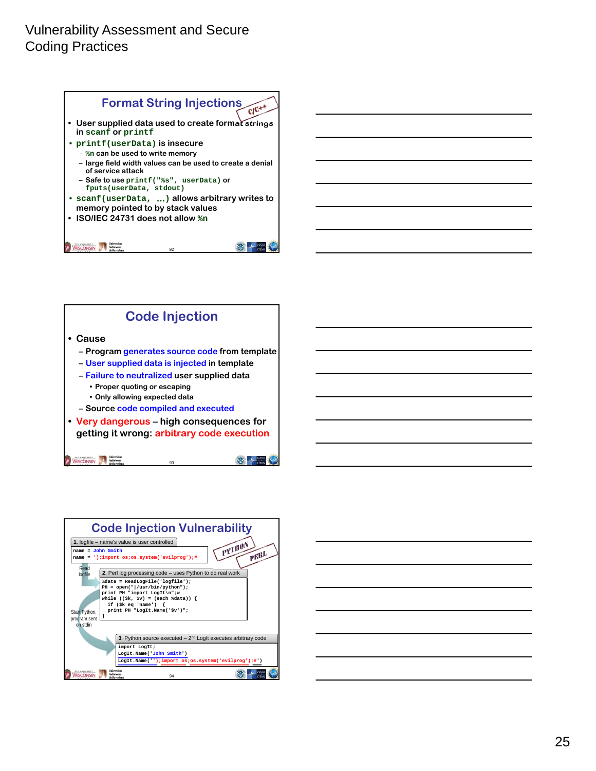





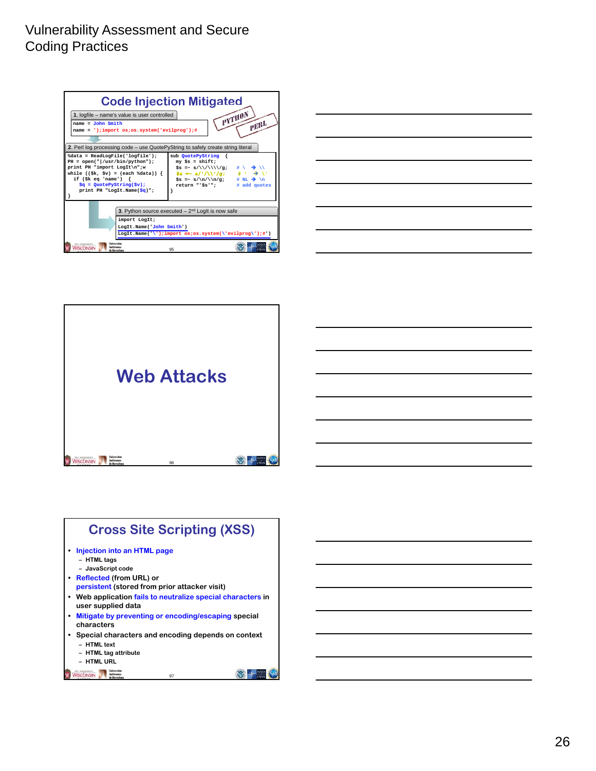| <b>Code Injection Mitigated</b><br>$pY^{\text{T}}\text{H}^{0N}$<br>1. logfile - name's value is user controlled<br>$\gamma \epsilon^{BL}$<br>$name = John Smith$<br>name = ');import os;os.system('evilprog');#                                                                                                                                                                                                                                                                                                                             |    |  |  |  |
|---------------------------------------------------------------------------------------------------------------------------------------------------------------------------------------------------------------------------------------------------------------------------------------------------------------------------------------------------------------------------------------------------------------------------------------------------------------------------------------------------------------------------------------------|----|--|--|--|
| 2. Perl log processing code – use QuotePyString to safely create string literal                                                                                                                                                                                                                                                                                                                                                                                                                                                             |    |  |  |  |
| %data = ReadLogFile('logfile');<br>sub QuotePyString {<br>$PH = open(" /usr/bin/python");$<br>$my$ $\$s = shift;$<br>print PH "import LogIt\n";w<br>\$s =~ s/\\/\\\\\/g;<br>$$s = ~ s/'/\sqrt{1/g};$ # $\rightarrow$<br>while $((\frac{1}{2}k, \frac{1}{2}v) = (\text{each } \frac{1}{2}data))$<br>if $(\frac{1}{2}k \cdot eq \cdot name')$ {<br>$\text{Ss} = \text{s}/\text{n}/\text{q}$ ; # NL $\rightarrow \text{h}$<br>$\zeta q =$ QuotePyString( $\zeta v$ );<br>return "'Šs'";<br># add quotes<br>print PH "LogIt.Name( $\zeta q$ )"; |    |  |  |  |
| 3. Python source executed $-2nd$ LogIt is now safe<br>import LogIt;<br>LogIt.Name('John Smith')<br>LogIt.Name('\');import os;os.system(\'evilprog\');#')                                                                                                                                                                                                                                                                                                                                                                                    |    |  |  |  |
| <i><u><b>Injurraitat</b></u></i><br><b>DIE UNIVERSITY</b><br>Intònoma<br><b>VISCONSIN</b><br>de Barcelona                                                                                                                                                                                                                                                                                                                                                                                                                                   | 95 |  |  |  |





# **Cross Site Scripting (XSS)**

- **• Injection into an HTML page**
	- **HTML tags**
- **JavaScript code • Reflected (from URL) or**
- **persistent (stored from prior attacker visit)**
- **Web application fails to neutralize special characters in user supplied data**
- **• Mitigate by preventing or encoding/escaping special characters**
- **Special characters and encoding depends on context**

97

- **HTML text**
- **HTML tag attribute – HTML URL**

WISCONSIN Mathematical Methodoms de Barcelons

2 + = 0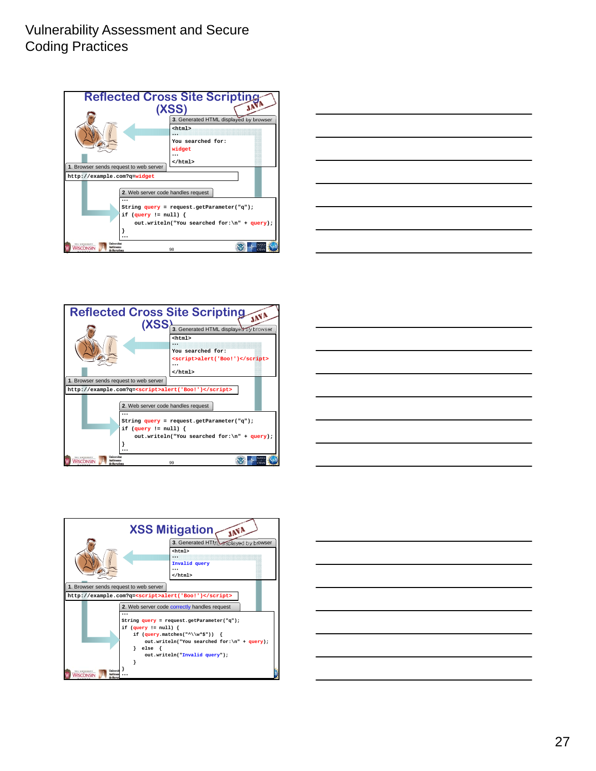









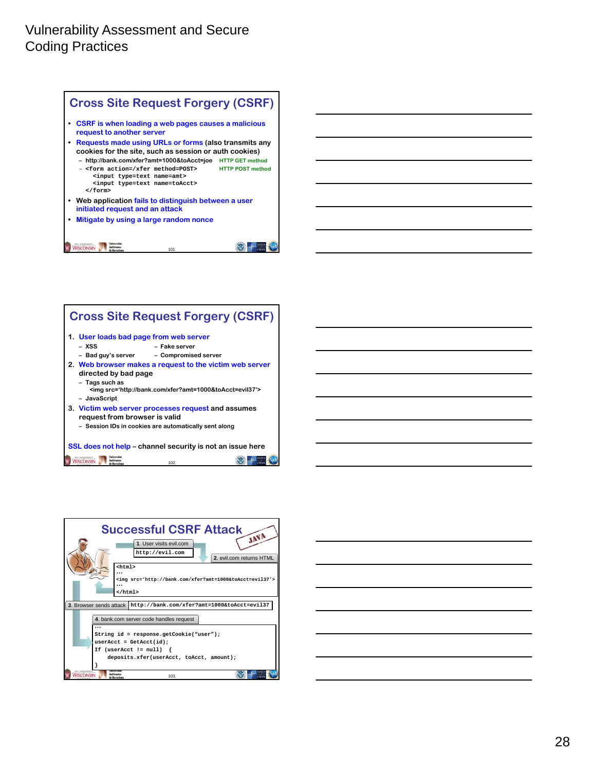





| $\overline{\phantom{a}}$                          | the contract of the contract of the contract of the contract of the contract of |  |  |
|---------------------------------------------------|---------------------------------------------------------------------------------|--|--|
|                                                   |                                                                                 |  |  |
|                                                   |                                                                                 |  |  |
|                                                   |                                                                                 |  |  |
|                                                   | <u> 1980 - Johann Barn, amerikansk politiker (</u>                              |  |  |
|                                                   |                                                                                 |  |  |
|                                                   | the control of the control of the control of                                    |  |  |
| <u> 1989 - Johann Barnett, fransk politiker (</u> |                                                                                 |  |  |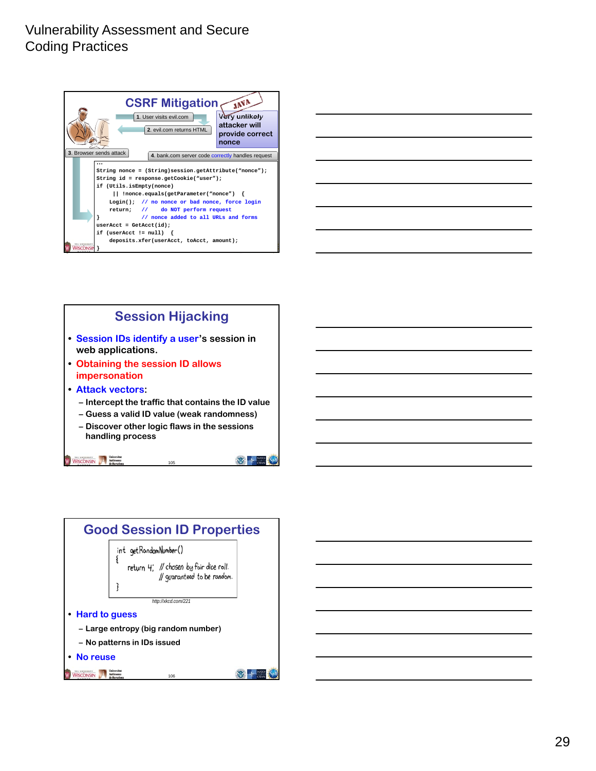





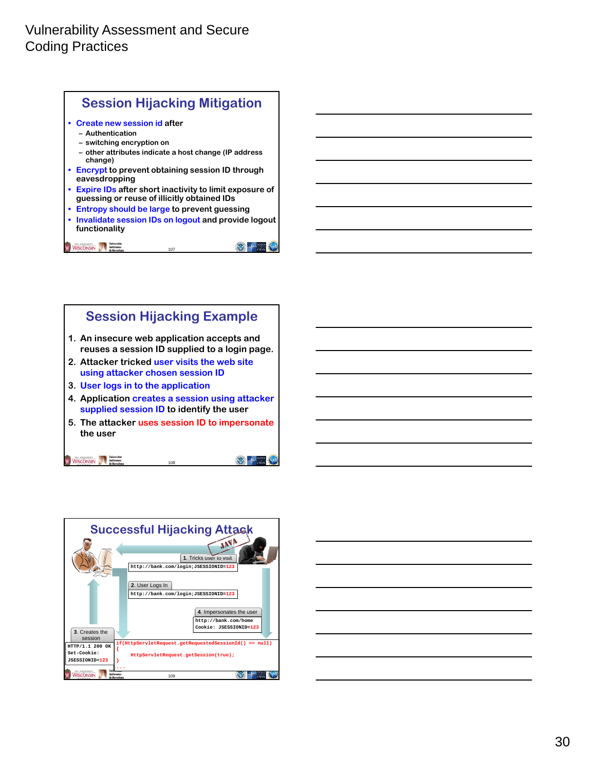





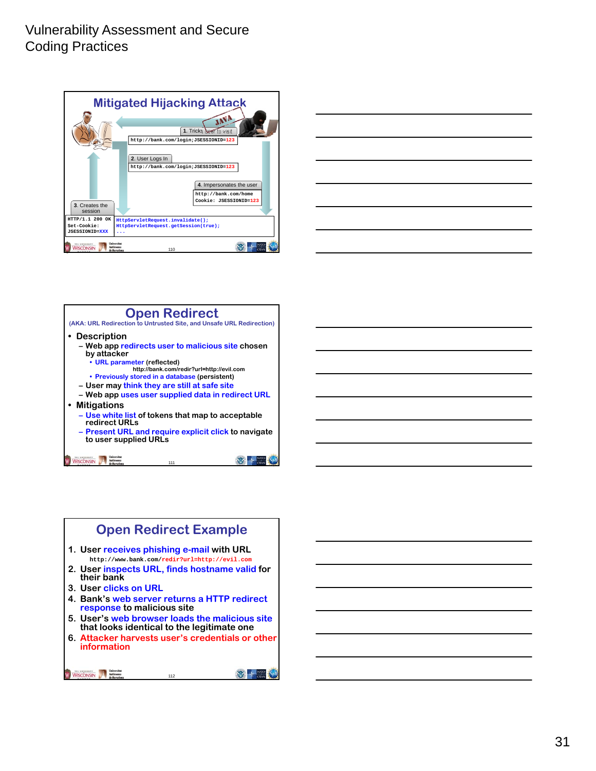



### **Open Redirect**

**(AKA: URL Redirection to Untrusted Site, and Unsafe URL Redirection)**

- **Description**
	- **Web app redirects user to malicious site chosen by attacker**
		- **URL parameter (reflected)**
		- **http://bank.com/redir?url=http://evil.com**
	- **Previously stored in a database (persistent) – User may think they are still at safe site**
	- **Web app uses user supplied data in redirect URL**
- **Mitigations**
	- **Use white list of tokens that map to acceptable redirect URLs**
	- **Present URL and require explicit click to navigate to user supplied URLs**

111

WISCONSIN Authoreurs

# **Open Redirect Example**

- **1. User receives phishing e-mail with URL http://www.bank.com/redir?url=http://evil.com**
- **2. User inspects URL, finds hostname valid for their bank**
- **3. User clicks on URL**
- **4. Bank's web server returns a HTTP redirect response to malicious site**
- **5. User's web browser loads the malicious site that looks identical to the legitimate one**
- **6. Attacker harvests user's credentials or other information**

112

```
WISCONSIN A Matomona
```

**WEB AT A NATION**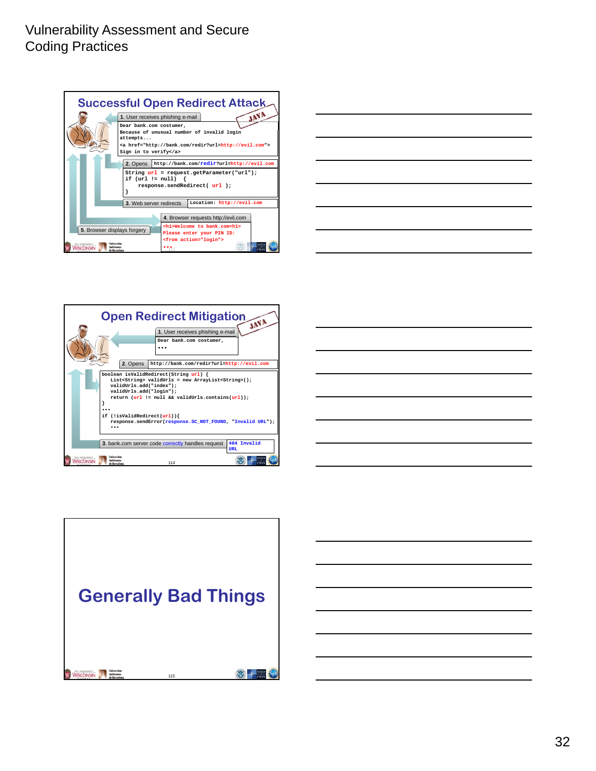







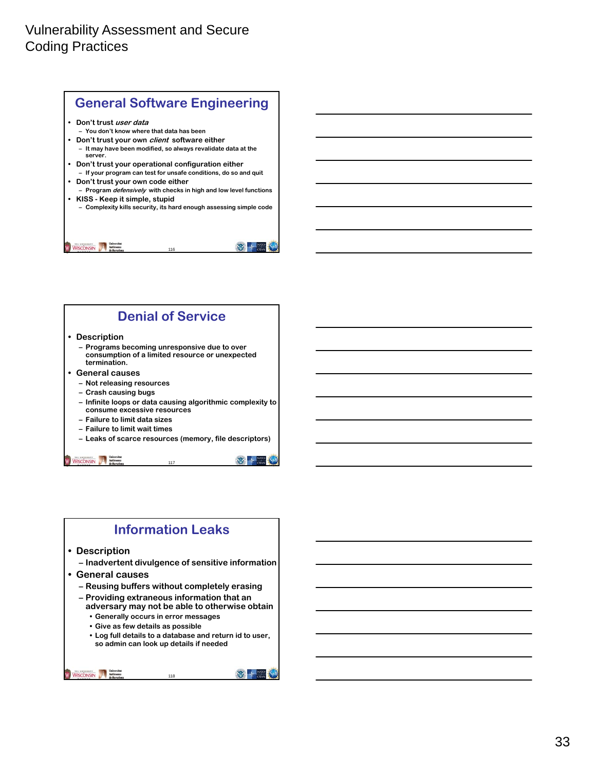

### **Denial of Service**

#### **• Description**

- **Programs becoming unresponsive due to over consumption of a limited resource or unexpected termination.**
- **General causes**
	- **Not releasing resources**
	- **Crash causing bugs**
	- **Infinite loops or data causing algorithmic complexity to consume excessive resources**
	- **Failure to limit data sizes**
	- **Failure to limit wait times**
	- **Leaks of scarce resources (memory, file descriptors)**

117

WISCONSIN Autonomy

### **Information Leaks**

#### **• Description**

- **Inadvertent divulgence of sensitive information**
- **General causes**
	- **Reusing buffers without completely erasing**
	- **Providing extraneous information that an**
	- **adversary may not be able to otherwise obtain • Generally occurs in error messages**
	- **Give as few details as possible**
	- **Log full details to a database and return id to user, so admin can look up details if needed**

118

WISCONSIN A Matomona

 $\mathbb{Z}$  +  $\frac{\mathbb{Z}}{\alpha}$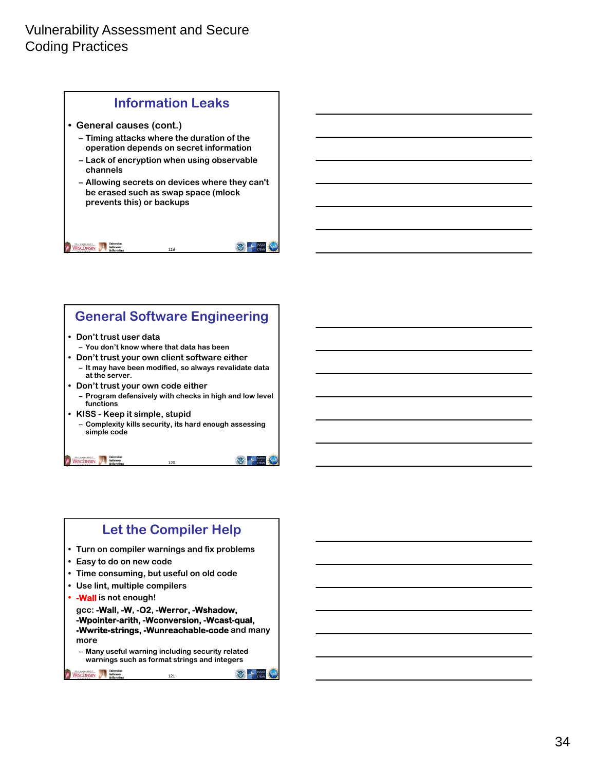

### **General Software Engineering**

#### **• Don't trust user data**

- **You don't know where that data has been**
- **Don't trust your own client software either**
- **It may have been modified, so always revalidate data at the server.**
- **Don't trust your own code either – Program defensively with checks in high and low level functions**
- **KISS Keep it simple, stupid – Complexity kills security, its hard enough assessing simple code**

120

 $\mathbb{Z}$  +  $\frac{\mathbb{Z}}{\alpha}$ 

 $\frac{1}{2}$   $\frac{1}{2}$   $\frac{1}{2}$ 

### **Let the Compiler Help**

- **Turn on compiler warnings and fix problems**
- **Easy to do on new code**

WISCONSIN Autonoma

- **Time consuming, but useful on old code**
- **Use lint, multiple compilers**
- **• -Wall is not enough!**

**gcc: -Wall, -W, -O2, -Werror, -Wshadow, -Wpointer-arith, -Wconversion, -Wcast-qual, -Wwrite-strings, -Wunreachable-code and many more**

121

**– Many useful warning including security related warnings such as format strings and integers**

WISCONSIN Autonoma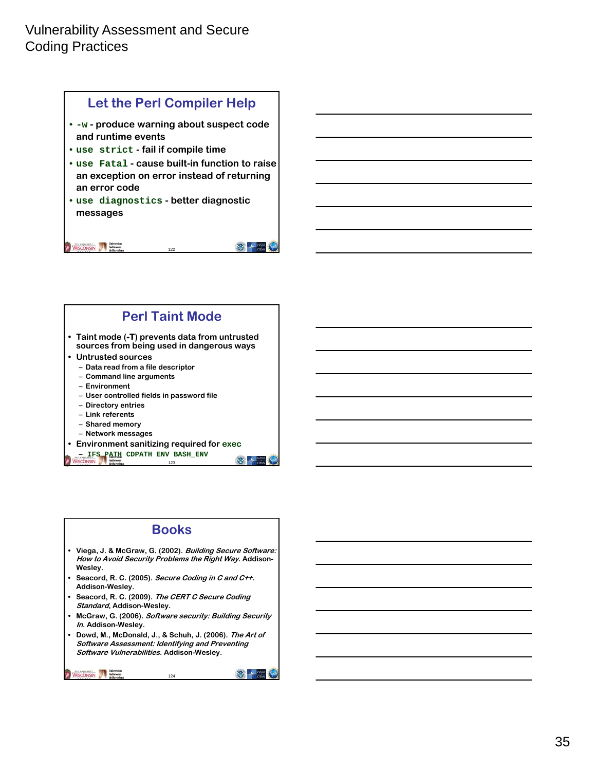



### **Books**

- **Viega, J. & McGraw, G. (2002). Building Secure Software: How to Avoid Security Problems the Right Way. Addison-Wesley.**
- **Seacord, R. C. (2005). Secure Coding in C and C++. Addison-Wesley.**
- **Seacord, R. C. (2009). The CERT C Secure Coding Standard, Addison-Wesley.**
- **McGraw, G. (2006). Software security: Building Security In. Addison-Wesley.**
- **Dowd, M., McDonald, J., & Schuh, J. (2006). The Art of Software Assessment: Identifying and Preventing Software Vulnerabilities. Addison-Wesley.**

```
WISCONSIN Mathematical Mathematical Mathematical Mathematical Mathematical Mathematical Mathematical Mathematical Mathematical Mathematical Mathematical Mathematical Mathematical Mathematical Mathematical Mathematical Math
```